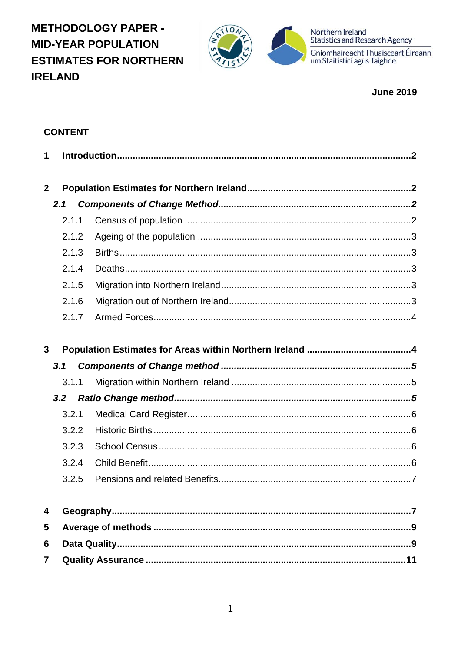**METHODOLOGY PAPER -MID-YEAR POPULATION ESTIMATES FOR NORTHERN IRELAND** 



Northern Ireland<br>Statistics and Research Agency

Gníomhaireacht Thuaisceart Éireann<br>um Staitisticí agus Taighde

**June 2019** 

# **CONTENT**

| 1            |       |  |
|--------------|-------|--|
| $\mathbf{2}$ |       |  |
|              | 2.1   |  |
|              | 2.1.1 |  |
|              | 2.1.2 |  |
|              | 2.1.3 |  |
|              | 2.1.4 |  |
|              | 2.1.5 |  |
|              | 2.1.6 |  |
|              | 2.1.7 |  |
|              |       |  |
| $\mathbf{3}$ |       |  |
|              |       |  |
|              | 3.1   |  |
|              | 3.1.1 |  |
|              | 3.2   |  |
|              | 3.2.1 |  |
|              | 3.2.2 |  |
|              | 3.2.3 |  |
|              | 3.2.4 |  |
|              | 3.2.5 |  |
|              |       |  |
| 4            |       |  |
| 5            |       |  |
| 6            |       |  |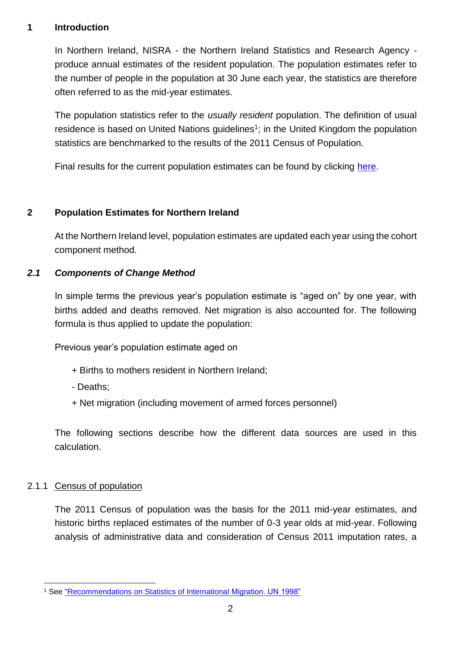#### <span id="page-1-0"></span>**1 Introduction**

In Northern Ireland, NISRA - the Northern Ireland Statistics and Research Agency produce annual estimates of the resident population. The population estimates refer to the number of people in the population at 30 June each year, the statistics are therefore often referred to as the mid-year estimates.

The population statistics refer to the *usually resident* population. The definition of usual residence is based on United Nations guidelines<sup>1</sup>; in the United Kingdom the population statistics are benchmarked to the results of the 2011 Census of Population.

Final results for the current population estimates can be found by clicking [here.](http://nisra-drupal.nigov.net/statistics/population/mid-year-population-estimates)

# <span id="page-1-1"></span>**2 Population Estimates for Northern Ireland**

At the Northern Ireland level, population estimates are updated each year using the cohort component method.

# <span id="page-1-2"></span>*2.1 Components of Change Method*

In simple terms the previous year's population estimate is "aged on" by one year, with births added and deaths removed. Net migration is also accounted for. The following formula is thus applied to update the population:

Previous year's population estimate aged on

- + Births to mothers resident in Northern Ireland;
- Deaths;
- + Net migration (including movement of armed forces personnel)

The following sections describe how the different data sources are used in this calculation.

## <span id="page-1-3"></span>2.1.1 Census of population

The 2011 Census of population was the basis for the 2011 mid-year estimates, and historic births replaced estimates of the number of 0-3 year olds at mid-year. Following analysis of administrative data and consideration of Census 2011 imputation rates, a

<sup>1</sup> <sup>1</sup> See ["Recommendations on Statistics of International Migration. UN 1998"](http://unstats.un.org/unsd/demographic/sconcerns/migration/migrmethods.htm#B)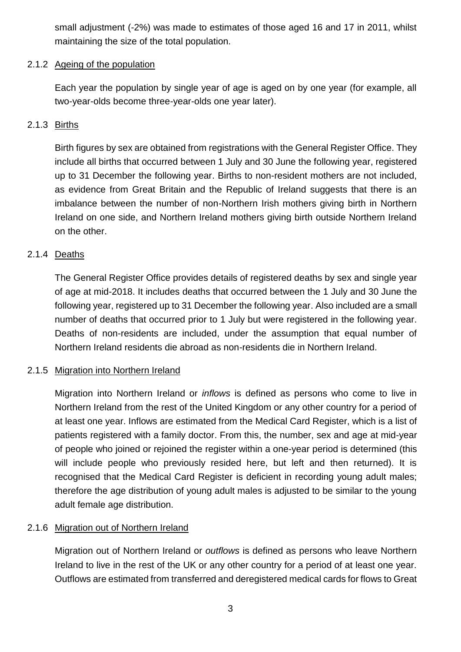small adjustment (-2%) was made to estimates of those aged 16 and 17 in 2011, whilst maintaining the size of the total population.

# <span id="page-2-0"></span>2.1.2 Ageing of the population

Each year the population by single year of age is aged on by one year (for example, all two-year-olds become three-year-olds one year later).

# <span id="page-2-1"></span>2.1.3 Births

Birth figures by sex are obtained from registrations with the General Register Office. They include all births that occurred between 1 July and 30 June the following year, registered up to 31 December the following year. Births to non-resident mothers are not included, as evidence from Great Britain and the Republic of Ireland suggests that there is an imbalance between the number of non-Northern Irish mothers giving birth in Northern Ireland on one side, and Northern Ireland mothers giving birth outside Northern Ireland on the other.

# <span id="page-2-2"></span>2.1.4 Deaths

The General Register Office provides details of registered deaths by sex and single year of age at mid-2018. It includes deaths that occurred between the 1 July and 30 June the following year, registered up to 31 December the following year. Also included are a small number of deaths that occurred prior to 1 July but were registered in the following year. Deaths of non-residents are included, under the assumption that equal number of Northern Ireland residents die abroad as non-residents die in Northern Ireland.

## <span id="page-2-3"></span>2.1.5 Migration into Northern Ireland

Migration into Northern Ireland or *inflows* is defined as persons who come to live in Northern Ireland from the rest of the United Kingdom or any other country for a period of at least one year. Inflows are estimated from the Medical Card Register, which is a list of patients registered with a family doctor. From this, the number, sex and age at mid-year of people who joined or rejoined the register within a one-year period is determined (this will include people who previously resided here, but left and then returned). It is recognised that the Medical Card Register is deficient in recording young adult males; therefore the age distribution of young adult males is adjusted to be similar to the young adult female age distribution.

# <span id="page-2-4"></span>2.1.6 Migration out of Northern Ireland

Migration out of Northern Ireland or *outflows* is defined as persons who leave Northern Ireland to live in the rest of the UK or any other country for a period of at least one year. Outflows are estimated from transferred and deregistered medical cards for flows to Great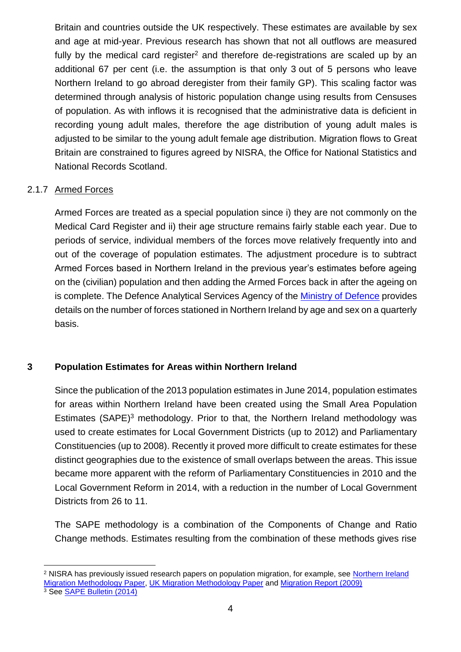Britain and countries outside the UK respectively. These estimates are available by sex and age at mid-year. Previous research has shown that not all outflows are measured fully by the medical card register<sup>2</sup> and therefore de-registrations are scaled up by an additional 67 per cent (i.e. the assumption is that only 3 out of 5 persons who leave Northern Ireland to go abroad deregister from their family GP). This scaling factor was determined through analysis of historic population change using results from Censuses of population. As with inflows it is recognised that the administrative data is deficient in recording young adult males, therefore the age distribution of young adult males is adjusted to be similar to the young adult female age distribution. Migration flows to Great Britain are constrained to figures agreed by NISRA, the Office for National Statistics and National Records Scotland.

# <span id="page-3-0"></span>2.1.7 Armed Forces

1

Armed Forces are treated as a special population since i) they are not commonly on the Medical Card Register and ii) their age structure remains fairly stable each year. Due to periods of service, individual members of the forces move relatively frequently into and out of the coverage of population estimates. The adjustment procedure is to subtract Armed Forces based in Northern Ireland in the previous year's estimates before ageing on the (civilian) population and then adding the Armed Forces back in after the ageing on is complete. The Defence Analytical Services Agency of the Ministry [of Defence](https://www.gov.uk/government/collections/location-of-all-uk-regular-service-and-civilian-personnel-quarterly-statistics-index) provides details on the number of forces stationed in Northern Ireland by age and sex on a quarterly basis.

## <span id="page-3-1"></span>**3 Population Estimates for Areas within Northern Ireland**

Since the publication of the 2013 population estimates in June 2014, population estimates for areas within Northern Ireland have been created using the Small Area Population Estimates (SAPE)<sup>3</sup> methodology. Prior to that, the Northern Ireland methodology was used to create estimates for Local Government Districts (up to 2012) and Parliamentary Constituencies (up to 2008). Recently it proved more difficult to create estimates for these distinct geographies due to the existence of small overlaps between the areas. This issue became more apparent with the reform of Parliamentary Constituencies in 2010 and the Local Government Reform in 2014, with a reduction in the number of Local Government Districts from 26 to 11.

The SAPE methodology is a combination of the Components of Change and Ratio Change methods. Estimates resulting from the combination of these methods gives rise

<sup>&</sup>lt;sup>2</sup> NISRA has previously issued research papers on population migration, for example, see Northern Ireland [Migration Methodology Paper,](http://nisra-drupal.nigov.net/sites/nisra.gov.uk/files/publications/dev-est-mig.pdf) [UK Migration Methodology Paper](https://www.nisra.gov.uk/sites/nisra.gov.uk/files/publications/UK-migration-paper-2005.pdf) and [Migration Report \(2009\)](http://nisra-drupal.nigov.net/sites/nisra.gov.uk/files/publications/Migration%20Report-2009.pdf) <sup>3</sup> See [SAPE Bulletin \(2014\)](https://www.nisra.gov.uk/sites/nisra.gov.uk/files/publications/SAPE14-Bulletin.pdf)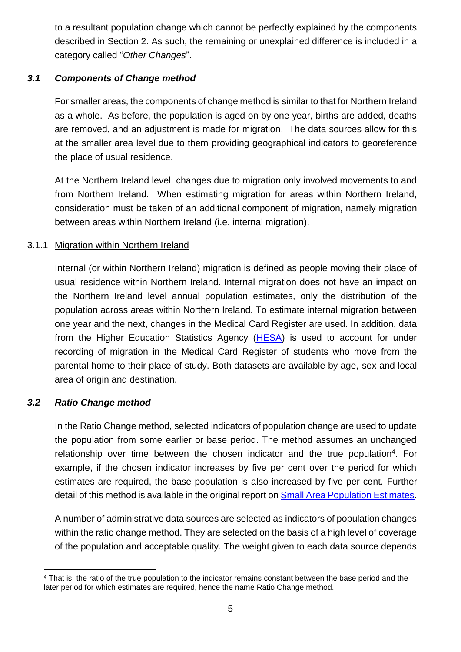to a resultant population change which cannot be perfectly explained by the components described in Section 2. As such, the remaining or unexplained difference is included in a category called "*Other Changes*".

# <span id="page-4-0"></span>*3.1 Components of Change method*

For smaller areas, the components of change method is similar to that for Northern Ireland as a whole. As before, the population is aged on by one year, births are added, deaths are removed, and an adjustment is made for migration. The data sources allow for this at the smaller area level due to them providing geographical indicators to georeference the place of usual residence.

At the Northern Ireland level, changes due to migration only involved movements to and from Northern Ireland. When estimating migration for areas within Northern Ireland, consideration must be taken of an additional component of migration, namely migration between areas within Northern Ireland (i.e. internal migration).

## <span id="page-4-1"></span>3.1.1 Migration within Northern Ireland

Internal (or within Northern Ireland) migration is defined as people moving their place of usual residence within Northern Ireland. Internal migration does not have an impact on the Northern Ireland level annual population estimates, only the distribution of the population across areas within Northern Ireland. To estimate internal migration between one year and the next, changes in the Medical Card Register are used. In addition, data from the Higher Education Statistics Agency [\(HESA\)](https://www.hesa.ac.uk/) is used to account for under recording of migration in the Medical Card Register of students who move from the parental home to their place of study. Both datasets are available by age, sex and local area of origin and destination.

## <span id="page-4-2"></span>*3.2 Ratio Change method*

In the Ratio Change method, selected indicators of population change are used to update the population from some earlier or base period. The method assumes an unchanged relationship over time between the chosen indicator and the true population<sup>4</sup>. For example, if the chosen indicator increases by five per cent over the period for which estimates are required, the base population is also increased by five per cent. Further detail of this method is available in the original report on [Small Area Population Estimates.](http://nisra-drupal.nigov.net/sites/nisra.gov.uk/files/publications/SAPEdocFinal.pdf)

A number of administrative data sources are selected as indicators of population changes within the ratio change method. They are selected on the basis of a high level of coverage of the population and acceptable quality. The weight given to each data source depends

<sup>1</sup> <sup>4</sup> That is, the ratio of the true population to the indicator remains constant between the base period and the later period for which estimates are required, hence the name Ratio Change method.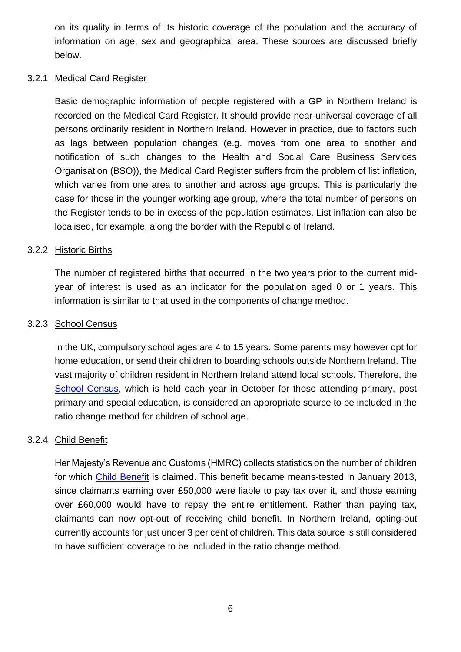on its quality in terms of its historic coverage of the population and the accuracy of information on age, sex and geographical area. These sources are discussed briefly below.

#### <span id="page-5-0"></span>3.2.1 Medical Card Register

Basic demographic information of people registered with a GP in Northern Ireland is recorded on the Medical Card Register. It should provide near-universal coverage of all persons ordinarily resident in Northern Ireland. However in practice, due to factors such as lags between population changes (e.g. moves from one area to another and notification of such changes to the Health and Social Care Business Services Organisation (BSO)), the Medical Card Register suffers from the problem of list inflation, which varies from one area to another and across age groups. This is particularly the case for those in the younger working age group, where the total number of persons on the Register tends to be in excess of the population estimates. List inflation can also be localised, for example, along the border with the Republic of Ireland.

#### <span id="page-5-1"></span>3.2.2 Historic Births

The number of registered births that occurred in the two years prior to the current midyear of interest is used as an indicator for the population aged 0 or 1 years. This information is similar to that used in the components of change method.

#### <span id="page-5-2"></span>3.2.3 School Census

In the UK, compulsory school ages are 4 to 15 years. Some parents may however opt for home education, or send their children to boarding schools outside Northern Ireland. The vast majority of children resident in Northern Ireland attend local schools. Therefore, the [School Census,](https://www.education-ni.gov.uk/topics/statistics-and-research/school-enrolments) which is held each year in October for those attending primary, post primary and special education, is considered an appropriate source to be included in the ratio change method for children of school age.

## <span id="page-5-3"></span>3.2.4 Child Benefit

Her Majesty's Revenue and Customs (HMRC) collects statistics on the number of children for which [Child Benefit](https://www.gov.uk/government/uploads/system/uploads/attachment_data/file/503347/Child_Benefit_Geographical_Statistics_August_2015.pdf) is claimed. This benefit became means-tested in January 2013, since claimants earning over £50,000 were liable to pay tax over it, and those earning over £60,000 would have to repay the entire entitlement. Rather than paying tax, claimants can now opt-out of receiving child benefit. In Northern Ireland, opting-out currently accounts for just under 3 per cent of children. This data source is still considered to have sufficient coverage to be included in the ratio change method.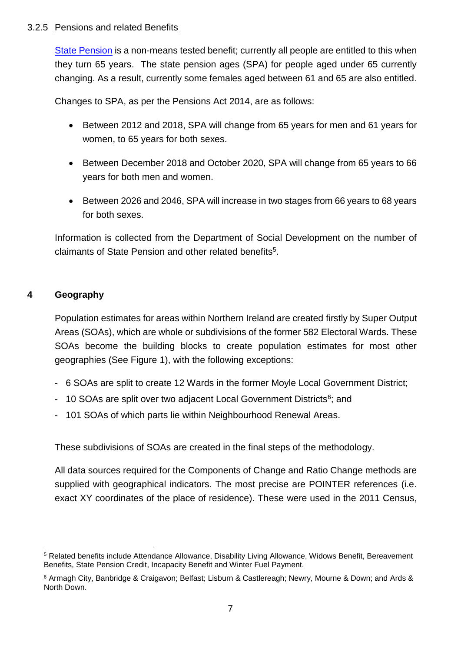#### <span id="page-6-0"></span>3.2.5 Pensions and related Benefits

[State Pension](https://www.communities-ni.gov.uk/articles/pension-information) is a non-means tested benefit; currently all people are entitled to this when they turn 65 years. The state pension ages (SPA) for people aged under 65 currently changing. As a result, currently some females aged between 61 and 65 are also entitled.

Changes to SPA, as per the Pensions Act 2014, are as follows:

- Between 2012 and 2018, SPA will change from 65 years for men and 61 years for women, to 65 years for both sexes.
- Between December 2018 and October 2020, SPA will change from 65 years to 66 years for both men and women.
- Between 2026 and 2046, SPA will increase in two stages from 66 years to 68 years for both sexes.

Information is collected from the Department of Social Development on the number of claimants of State Pension and other related benefits<sup>5</sup>.

# <span id="page-6-1"></span>**4 Geography**

Population estimates for areas within Northern Ireland are created firstly by Super Output Areas (SOAs), which are whole or subdivisions of the former 582 Electoral Wards. These SOAs become the building blocks to create population estimates for most other geographies (See Figure 1), with the following exceptions:

- 6 SOAs are split to create 12 Wards in the former Moyle Local Government District;
- 10 SOAs are split over two adjacent Local Government Districts<sup>6</sup>; and
- 101 SOAs of which parts lie within Neighbourhood Renewal Areas.

These subdivisions of SOAs are created in the final steps of the methodology.

All data sources required for the Components of Change and Ratio Change methods are supplied with geographical indicators. The most precise are POINTER references (i.e. exact XY coordinates of the place of residence). These were used in the 2011 Census,

<sup>1</sup> <sup>5</sup> Related benefits include Attendance Allowance, Disability Living Allowance, Widows Benefit, Bereavement Benefits, State Pension Credit, Incapacity Benefit and Winter Fuel Payment.

<sup>6</sup> Armagh City, Banbridge & Craigavon; Belfast; Lisburn & Castlereagh; Newry, Mourne & Down; and Ards & North Down.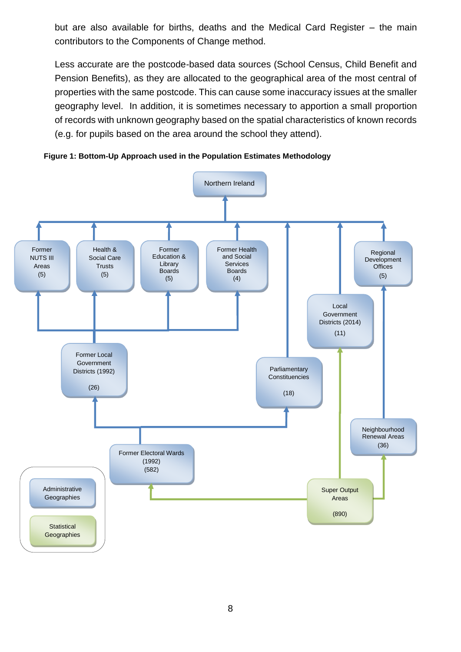but are also available for births, deaths and the Medical Card Register – the main contributors to the Components of Change method.

Less accurate are the postcode-based data sources (School Census, Child Benefit and Pension Benefits), as they are allocated to the geographical area of the most central of properties with the same postcode. This can cause some inaccuracy issues at the smaller geography level. In addition, it is sometimes necessary to apportion a small proportion of records with unknown geography based on the spatial characteristics of known records (e.g. for pupils based on the area around the school they attend).



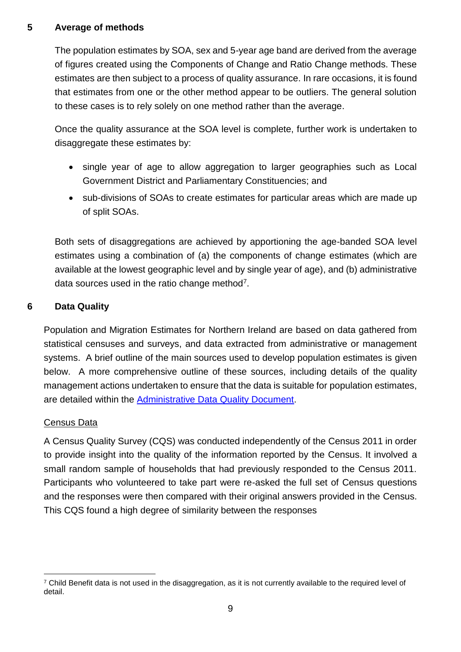## <span id="page-8-0"></span>**5 Average of methods**

The population estimates by SOA, sex and 5-year age band are derived from the average of figures created using the Components of Change and Ratio Change methods. These estimates are then subject to a process of quality assurance. In rare occasions, it is found that estimates from one or the other method appear to be outliers. The general solution to these cases is to rely solely on one method rather than the average.

Once the quality assurance at the SOA level is complete, further work is undertaken to disaggregate these estimates by:

- single year of age to allow aggregation to larger geographies such as Local Government District and Parliamentary Constituencies; and
- sub-divisions of SOAs to create estimates for particular areas which are made up of split SOAs.

Both sets of disaggregations are achieved by apportioning the age-banded SOA level estimates using a combination of (a) the components of change estimates (which are available at the lowest geographic level and by single year of age), and (b) administrative data sources used in the ratio change method $7$ .

# <span id="page-8-1"></span>**6 Data Quality**

Population and Migration Estimates for Northern Ireland are based on data gathered from statistical censuses and surveys, and data extracted from administrative or management systems. A brief outline of the main sources used to develop population estimates is given below. A more comprehensive outline of these sources, including details of the quality management actions undertaken to ensure that the data is suitable for population estimates, are detailed within the **[Administrative Data Quality Document.](https://www.nisra.gov.uk/sites/nisra.gov.uk/files/publications/Population-DataQuality_1.pdf)** 

## Census Data

A Census Quality Survey (CQS) was conducted independently of the Census 2011 in order to provide insight into the quality of the information reported by the Census. It involved a small random sample of households that had previously responded to the Census 2011. Participants who volunteered to take part were re-asked the full set of Census questions and the responses were then compared with their original answers provided in the Census. This CQS found a high degree of similarity between the responses

<sup>1</sup> <sup>7</sup> Child Benefit data is not used in the disaggregation, as it is not currently available to the required level of detail.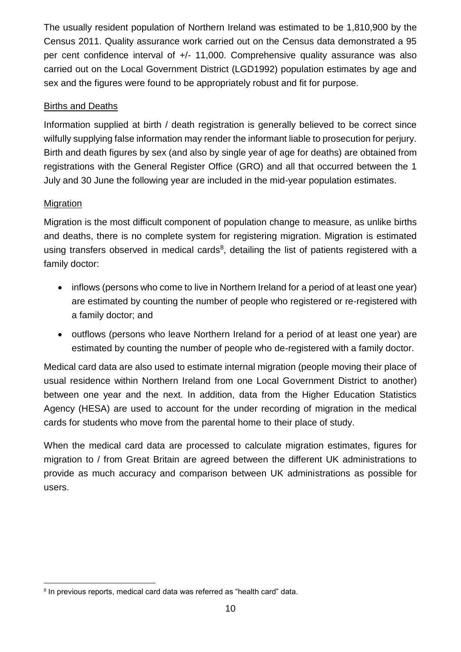The usually resident population of Northern Ireland was estimated to be 1,810,900 by the Census 2011. Quality assurance work carried out on the Census data demonstrated a 95 per cent confidence interval of +/- 11,000. Comprehensive quality assurance was also carried out on the Local Government District (LGD1992) population estimates by age and sex and the figures were found to be appropriately robust and fit for purpose.

# Births and Deaths

Information supplied at birth / death registration is generally believed to be correct since wilfully supplying false information may render the informant liable to prosecution for perjury. Birth and death figures by sex (and also by single year of age for deaths) are obtained from registrations with the General Register Office (GRO) and all that occurred between the 1 July and 30 June the following year are included in the mid-year population estimates.

# Migration

Migration is the most difficult component of population change to measure, as unlike births and deaths, there is no complete system for registering migration. Migration is estimated using transfers observed in medical cards<sup>8</sup>, detailing the list of patients registered with a family doctor:

- inflows (persons who come to live in Northern Ireland for a period of at least one year) are estimated by counting the number of people who registered or re-registered with a family doctor; and
- outflows (persons who leave Northern Ireland for a period of at least one year) are estimated by counting the number of people who de-registered with a family doctor.

Medical card data are also used to estimate internal migration (people moving their place of usual residence within Northern Ireland from one Local Government District to another) between one year and the next. In addition, data from the Higher Education Statistics Agency (HESA) are used to account for the under recording of migration in the medical cards for students who move from the parental home to their place of study.

When the medical card data are processed to calculate migration estimates, figures for migration to / from Great Britain are agreed between the different UK administrations to provide as much accuracy and comparison between UK administrations as possible for users.

<sup>1</sup> <sup>8</sup> In previous reports, medical card data was referred as "health card" data.